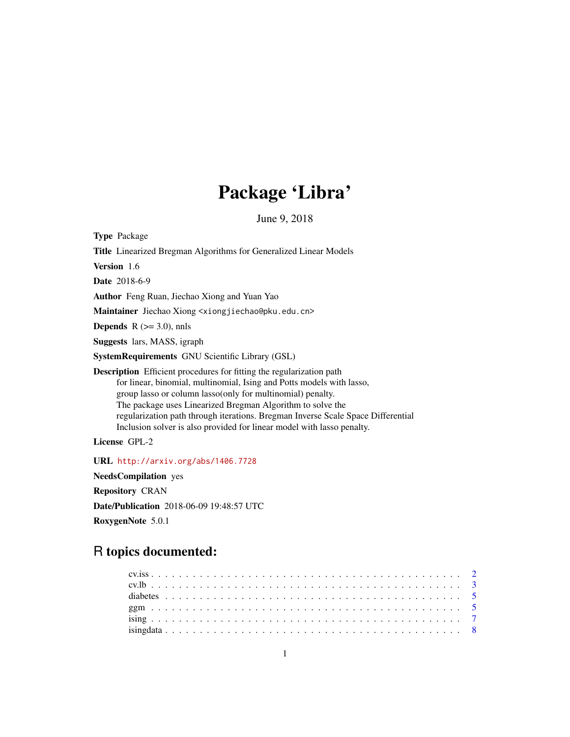# Package 'Libra'

June 9, 2018

Type Package Title Linearized Bregman Algorithms for Generalized Linear Models Version 1.6 Date 2018-6-9 Author Feng Ruan, Jiechao Xiong and Yuan Yao Maintainer Jiechao Xiong <xiongjiechao@pku.edu.cn> **Depends** R  $(>= 3.0)$ , nnls Suggests lars, MASS, igraph SystemRequirements GNU Scientific Library (GSL) Description Efficient procedures for fitting the regularization path for linear, binomial, multinomial, Ising and Potts models with lasso, group lasso or column lasso(only for multinomial) penalty. The package uses Linearized Bregman Algorithm to solve the regularization path through iterations. Bregman Inverse Scale Space Differential Inclusion solver is also provided for linear model with lasso penalty. License GPL-2

URL <http://arxiv.org/abs/1406.7728>

NeedsCompilation yes Repository CRAN

Date/Publication 2018-06-09 19:48:57 UTC

RoxygenNote 5.0.1

## R topics documented: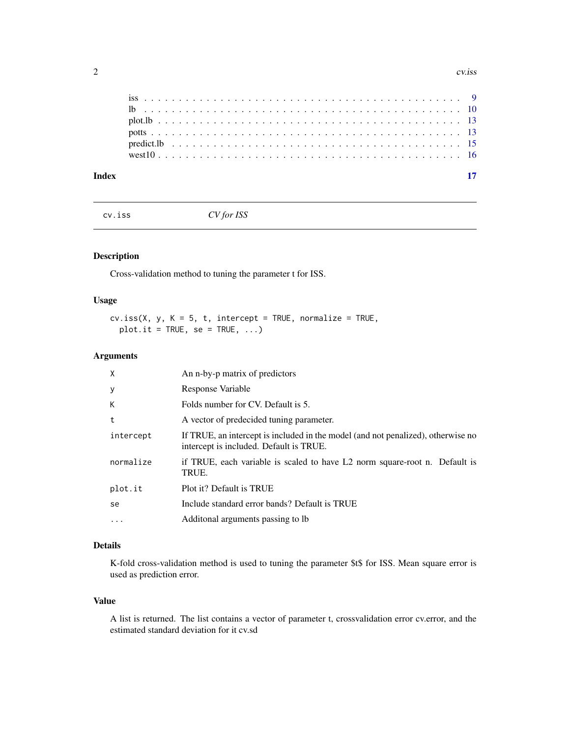<span id="page-1-0"></span>

| Index |  |  |  |  |  |  |  |  |  |  |  |  |  |  |  |  |  |  |  |  |  |
|-------|--|--|--|--|--|--|--|--|--|--|--|--|--|--|--|--|--|--|--|--|--|

cv.iss *CV for ISS*

### Description

Cross-validation method to tuning the parameter t for ISS.

#### Usage

 $cv.iss(X, y, K = 5, t, intercept = TRUE, normalize = TRUE,$  $plot.it = TRUE, se = TRUE, ...)$ 

#### Arguments

| X         | An n-by-p matrix of predictors                                                                                              |
|-----------|-----------------------------------------------------------------------------------------------------------------------------|
| y         | Response Variable                                                                                                           |
| К         | Folds number for CV. Default is 5.                                                                                          |
| t         | A vector of predecided tuning parameter.                                                                                    |
| intercept | If TRUE, an intercept is included in the model (and not penalized), otherwise no<br>intercept is included. Default is TRUE. |
| normalize | if TRUE, each variable is scaled to have L2 norm square-root n. Default is<br>TRUE.                                         |
| plot.it   | Plot it? Default is TRUE                                                                                                    |
| se        | Include standard error bands? Default is TRUE                                                                               |
| $\cdots$  | Additional arguments passing to lb                                                                                          |

#### Details

K-fold cross-validation method is used to tuning the parameter \$t\$ for ISS. Mean square error is used as prediction error.

#### Value

A list is returned. The list contains a vector of parameter t, crossvalidation error cv.error, and the estimated standard deviation for it cv.sd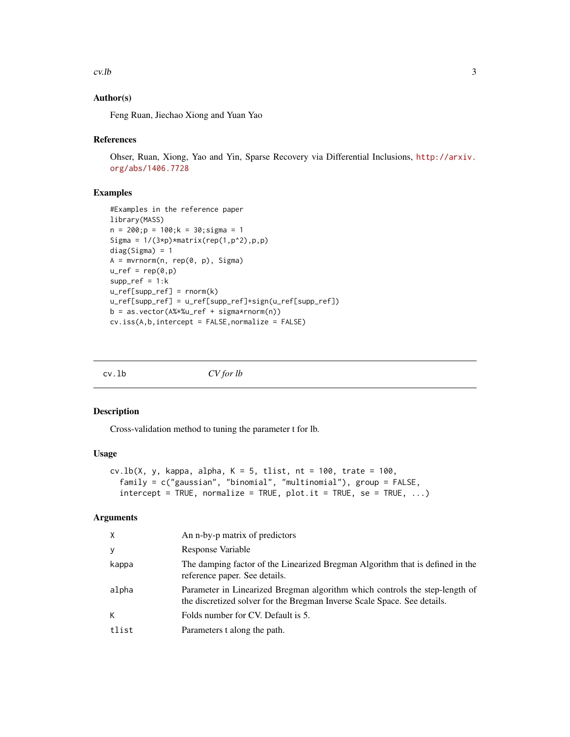#### <span id="page-2-0"></span> $cv.$  lb  $3$

#### Author(s)

Feng Ruan, Jiechao Xiong and Yuan Yao

#### References

Ohser, Ruan, Xiong, Yao and Yin, Sparse Recovery via Differential Inclusions, [http://arxiv.](http://arxiv.org/abs/1406.7728) [org/abs/1406.7728](http://arxiv.org/abs/1406.7728)

#### Examples

```
#Examples in the reference paper
library(MASS)
n = 200; p = 100; k = 30; sigma = 1Sigma = 1/(3*p)*matrix(rep(1,p^2),p,p)diag(Sigma) = 1
A = mvrnorm(n, rep(0, p), Sigma)
u_ref = rep(0,p)supp_ref = 1:ku_ref[supp_ref] = rnorm(k)
u_ref[supp_ref] = u_ref[supp_ref]+sign(u_ref[supp_ref])
b = as.vector(A%*%u-ref + sigma*rnorm(n))cv.iss(A,b,intercept = FALSE,normalize = FALSE)
```
cv.lb *CV for lb*

#### Description

Cross-validation method to tuning the parameter t for lb.

#### Usage

```
cv.\lb(X, y, \text{kappa}, \text{alpha}, \text{alpha}, K = 5, \text{tlist}, nt = 100, \text{trace} = 100,family = c("gaussian", "binomial", "multinomial"), group = FALSE,
  intercept = TRUE, normalize = TRUE, plot.it = TRUE, se = TRUE, ...)
```
#### Arguments

| X     | An n-by-p matrix of predictors                                                                                                                          |
|-------|---------------------------------------------------------------------------------------------------------------------------------------------------------|
| y     | Response Variable                                                                                                                                       |
| kappa | The damping factor of the Linearized Bregman Algorithm that is defined in the<br>reference paper. See details.                                          |
| alpha | Parameter in Linearized Bregman algorithm which controls the step-length of<br>the discretized solver for the Bregman Inverse Scale Space. See details. |
| K     | Folds number for CV. Default is 5.                                                                                                                      |
| tlist | Parameters t along the path.                                                                                                                            |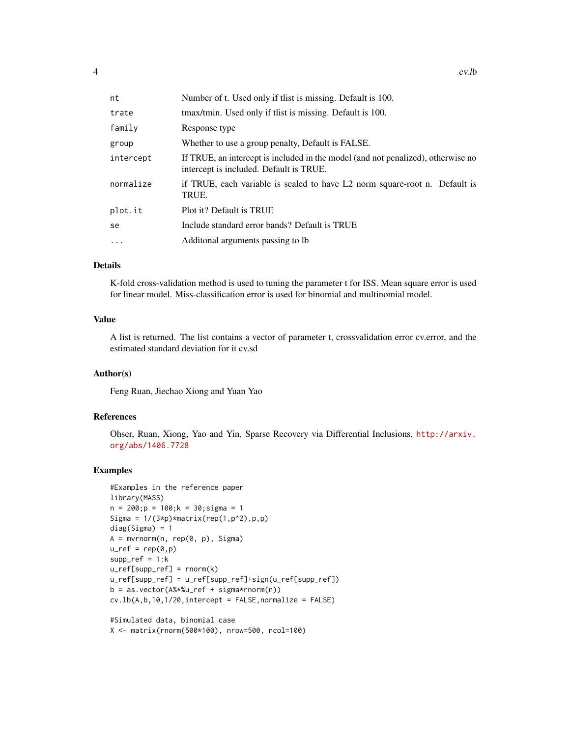| nt        | Number of t. Used only if thist is missing. Default is 100.                                                                 |
|-----------|-----------------------------------------------------------------------------------------------------------------------------|
| trate     | tmax/tmin. Used only if thist is missing. Default is 100.                                                                   |
| family    | Response type                                                                                                               |
| group     | Whether to use a group penalty, Default is FALSE.                                                                           |
| intercept | If TRUE, an intercept is included in the model (and not penalized), otherwise no<br>intercept is included. Default is TRUE. |
| normalize | if TRUE, each variable is scaled to have L2 norm square-root n. Default is<br>TRUE.                                         |
| plot.it   | Plot it? Default is TRUE                                                                                                    |
| se        | Include standard error bands? Default is TRUE                                                                               |
| $\cdot$   | Additional arguments passing to lb                                                                                          |

#### Details

K-fold cross-validation method is used to tuning the parameter t for ISS. Mean square error is used for linear model. Miss-classification error is used for binomial and multinomial model.

#### Value

A list is returned. The list contains a vector of parameter t, crossvalidation error cv.error, and the estimated standard deviation for it cv.sd

#### Author(s)

Feng Ruan, Jiechao Xiong and Yuan Yao

#### References

Ohser, Ruan, Xiong, Yao and Yin, Sparse Recovery via Differential Inclusions, [http://arxiv.](http://arxiv.org/abs/1406.7728) [org/abs/1406.7728](http://arxiv.org/abs/1406.7728)

#### Examples

```
#Examples in the reference paper
library(MASS)
n = 200; p = 100; k = 30; sigma = 1Sigma = 1/(3*p)*matrix(rep(1,p^2),p,p)diag(Sigma) = 1A = mvrnorm(n, rep(0, p), Sigma)
u_ref = rep(0,p)supp_ref = 1:ku_ref[supp_ref] = rnorm(k)u_ref[supp_ref] = u_ref[supp_ref]+sign(u_ref[supp_ref])
b = as.vector(A%*%u-ref + sigma*rnorm(n))cv.lb(A, b, 10, 1/20, intercept = FALSE, normalize = FALSE)
```
#Simulated data, binomial case X <- matrix(rnorm(500\*100), nrow=500, ncol=100)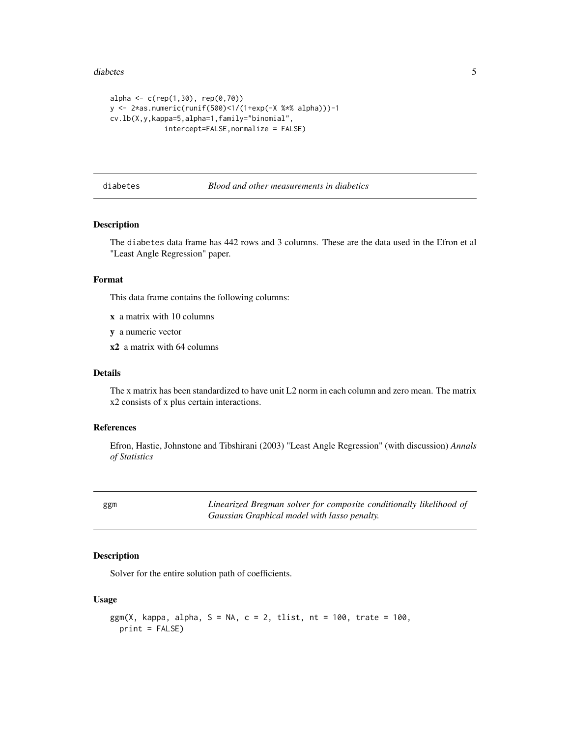#### <span id="page-4-0"></span>diabetes 5

```
alpha <- c(rep(1,30), rep(0,70))y <- 2*as.numeric(runif(500)<1/(1+exp(-X %*% alpha)))-1
cv.lb(X,y,kappa=5,alpha=1,family="binomial",
             intercept=FALSE,normalize = FALSE)
```
diabetes *Blood and other measurements in diabetics*

#### Description

The diabetes data frame has 442 rows and 3 columns. These are the data used in the Efron et al "Least Angle Regression" paper.

#### Format

This data frame contains the following columns:

- x a matrix with 10 columns
- y a numeric vector
- x2 a matrix with 64 columns

#### Details

The x matrix has been standardized to have unit L2 norm in each column and zero mean. The matrix x2 consists of x plus certain interactions.

#### References

Efron, Hastie, Johnstone and Tibshirani (2003) "Least Angle Regression" (with discussion) *Annals of Statistics*

ggm *Linearized Bregman solver for composite conditionally likelihood of Gaussian Graphical model with lasso penalty.*

#### Description

Solver for the entire solution path of coefficients.

#### Usage

```
ggm(X, kappa, alpha, S = NA, c = 2, tlist, nt = 100, trate = 100,print = FALSE)
```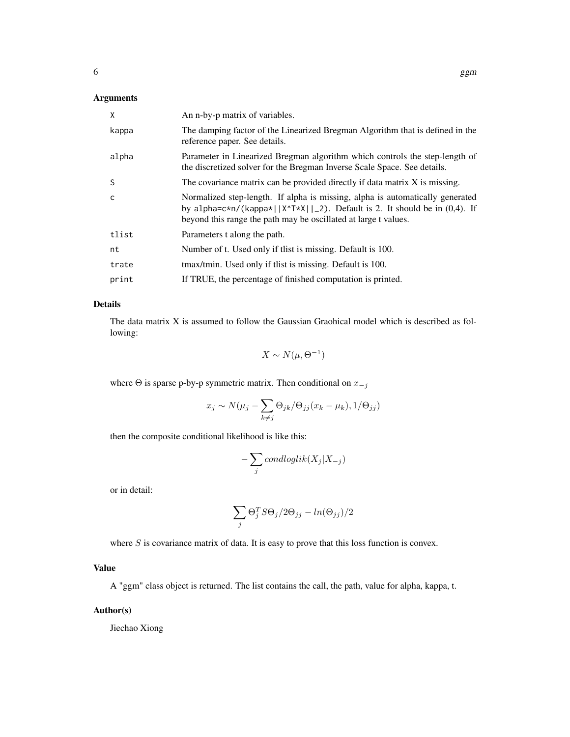#### Arguments

| X     | An n-by-p matrix of variables.                                                                                                                                                                                                   |
|-------|----------------------------------------------------------------------------------------------------------------------------------------------------------------------------------------------------------------------------------|
| kappa | The damping factor of the Linearized Bregman Algorithm that is defined in the<br>reference paper. See details.                                                                                                                   |
| alpha | Parameter in Linearized Bregman algorithm which controls the step-length of<br>the discretized solver for the Bregman Inverse Scale Space. See details.                                                                          |
| S     | The covariance matrix can be provided directly if data matrix X is missing.                                                                                                                                                      |
| C     | Normalized step-length. If alpha is missing, alpha is automatically generated<br>by alpha=c*n/(kappa*  X^T*X  _2). Default is 2. It should be in $(0,4)$ . If<br>beyond this range the path may be oscillated at large t values. |
| tlist | Parameters t along the path.                                                                                                                                                                                                     |
| nt    | Number of t. Used only if thist is missing. Default is 100.                                                                                                                                                                      |
| trate | tmax/tmin. Used only if thist is missing. Default is 100.                                                                                                                                                                        |
| print | If TRUE, the percentage of finished computation is printed.                                                                                                                                                                      |

#### Details

The data matrix X is assumed to follow the Gaussian Graohical model which is described as following:

$$
X \sim N(\mu, \Theta^{-1})
$$

where  $\Theta$  is sparse p-by-p symmetric matrix. Then conditional on  $x_{-j}$ 

$$
x_j \sim N(\mu_j - \sum_{k \neq j} \Theta_{jk} / \Theta_{jj} (x_k - \mu_k), 1 / \Theta_{jj})
$$

then the composite conditional likelihood is like this:

$$
-\sum_{j}condloglik(X_j|X_{-j})
$$

or in detail:

$$
\sum_j \Theta_j^T S \Theta_j / 2 \Theta_{jj} - \ln(\Theta_{jj}) / 2
$$

where  $S$  is covariance matrix of data. It is easy to prove that this loss function is convex.

#### Value

A "ggm" class object is returned. The list contains the call, the path, value for alpha, kappa, t.

#### Author(s)

Jiechao Xiong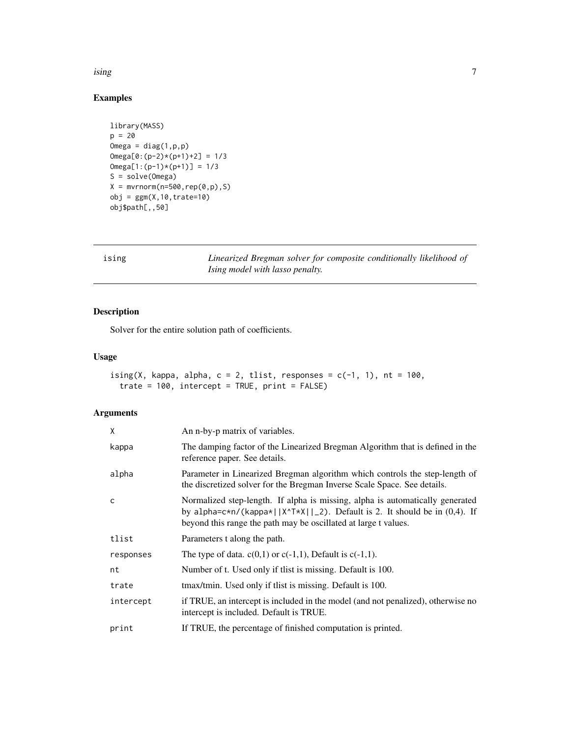<span id="page-6-0"></span>ising the contract of the contract of the contract of the contract of the contract of the contract of the contract of the contract of the contract of the contract of the contract of the contract of the contract of the cont

#### Examples

```
library(MASS)
p = 20Omega = diag(1, p, p)Omega[0:(p-2)*(p+1)+2] = 1/3Omega[1:(p-1)*(p+1)] = 1/3S = solve(Omega)
X = mvrnorm(n=500, rep(0,p),S)obj = ggm(X, 10, true=10)obj$path[,,50]
```
ising *Linearized Bregman solver for composite conditionally likelihood of Ising model with lasso penalty.*

#### Description

Solver for the entire solution path of coefficients.

#### Usage

```
ising(X, kappa, alpha, c = 2, tlist, responses = c(-1, 1), nt = 100,
 trate = 100, intercept = TRUE, print = FALSE)
```
#### Arguments

| X         | An n-by-p matrix of variables.                                                                                                                                                                                                    |
|-----------|-----------------------------------------------------------------------------------------------------------------------------------------------------------------------------------------------------------------------------------|
| kappa     | The damping factor of the Linearized Bregman Algorithm that is defined in the<br>reference paper. See details.                                                                                                                    |
| alpha     | Parameter in Linearized Bregman algorithm which controls the step-length of<br>the discretized solver for the Bregman Inverse Scale Space. See details.                                                                           |
| C         | Normalized step-length. If alpha is missing, alpha is automatically generated<br>by alpha= $c*n/(kappa*  X^T*X  _2)$ . Default is 2. It should be in (0,4). If<br>beyond this range the path may be oscillated at large t values. |
| tlist     | Parameters t along the path.                                                                                                                                                                                                      |
| responses | The type of data. $c(0,1)$ or $c(-1,1)$ , Default is $c(-1,1)$ .                                                                                                                                                                  |
| nt        | Number of t. Used only if thist is missing. Default is 100.                                                                                                                                                                       |
| trate     | tmax/tmin. Used only if thist is missing. Default is 100.                                                                                                                                                                         |
| intercept | if TRUE, an intercept is included in the model (and not penalized), otherwise no<br>intercept is included. Default is TRUE.                                                                                                       |
| print     | If TRUE, the percentage of finished computation is printed.                                                                                                                                                                       |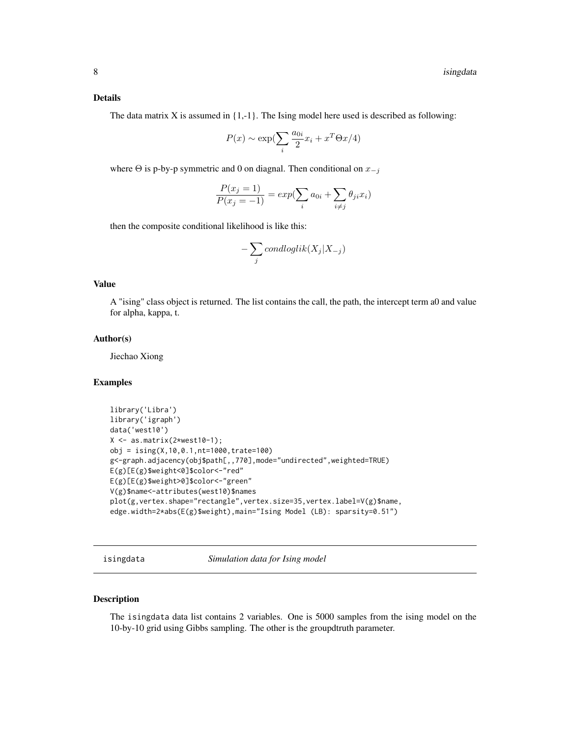#### <span id="page-7-0"></span>Details

The data matrix X is assumed in  $\{1,-1\}$ . The Ising model here used is described as following:

$$
P(x) \sim \exp\left(\sum_{i} \frac{a_{0i}}{2} x_i + x^T \Theta x/4\right)
$$

where  $\Theta$  is p-by-p symmetric and 0 on diagnal. Then conditional on  $x_{-j}$ 

$$
\frac{P(x_j = 1)}{P(x_j = -1)} = exp(\sum_i a_{0i} + \sum_{i \neq j} \theta_{ji} x_i)
$$

then the composite conditional likelihood is like this:

$$
-\sum_{j}condloglik(X_j|X_{-j})
$$

#### Value

A "ising" class object is returned. The list contains the call, the path, the intercept term a0 and value for alpha, kappa, t.

#### Author(s)

Jiechao Xiong

#### Examples

```
library('Libra')
library('igraph')
data('west10')
X \leftarrow as.matrix(2*west10-1);obj = ising(X,10,0.1,nt=1000,trate=100)
g<-graph.adjacency(obj$path[,,770],mode="undirected",weighted=TRUE)
E(g)[E(g)$weight<0]$color<-"red"
E(g)[E(g)$weight>0]$color<-"green"
V(g)$name<-attributes(west10)$names
plot(g,vertex.shape="rectangle",vertex.size=35,vertex.label=V(g)$name,
edge.width=2*abs(E(g)$weight),main="Ising Model (LB): sparsity=0.51")
```
isingdata *Simulation data for Ising model*

#### Description

The isingdata data list contains 2 variables. One is 5000 samples from the ising model on the 10-by-10 grid using Gibbs sampling. The other is the groupdtruth parameter.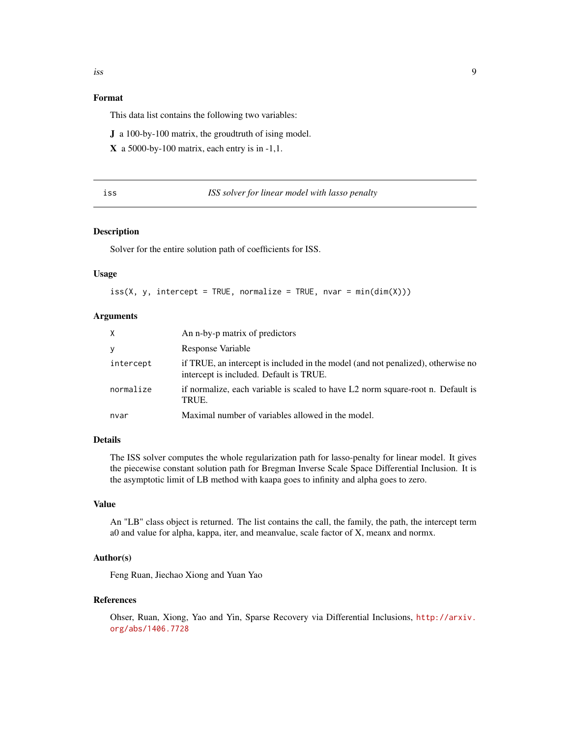#### <span id="page-8-0"></span>Format

This data list contains the following two variables:

J a 100-by-100 matrix, the groudtruth of ising model.

 $X$  a 5000-by-100 matrix, each entry is in -1,1.

| I<br>$\sim$ | ۰.<br>. .<br>۰. |  |
|-------------|-----------------|--|
|             |                 |  |

#### ISS solver for linear model with lasso penalty

#### Description

Solver for the entire solution path of coefficients for ISS.

#### Usage

 $iss(X, y,$  intercept = TRUE, normalize = TRUE, nvar = min(dim(X)))

#### Arguments

| X         | An n-by-p matrix of predictors                                                                                              |
|-----------|-----------------------------------------------------------------------------------------------------------------------------|
| У         | Response Variable                                                                                                           |
| intercept | if TRUE, an intercept is included in the model (and not penalized), otherwise no<br>intercept is included. Default is TRUE. |
| normalize | if normalize, each variable is scaled to have L2 norm square-root n. Default is<br>TRUE.                                    |
| nvar      | Maximal number of variables allowed in the model.                                                                           |

#### Details

The ISS solver computes the whole regularization path for lasso-penalty for linear model. It gives the piecewise constant solution path for Bregman Inverse Scale Space Differential Inclusion. It is the asymptotic limit of LB method with kaapa goes to infinity and alpha goes to zero.

#### Value

An "LB" class object is returned. The list contains the call, the family, the path, the intercept term a0 and value for alpha, kappa, iter, and meanvalue, scale factor of X, meanx and normx.

#### Author(s)

Feng Ruan, Jiechao Xiong and Yuan Yao

#### References

Ohser, Ruan, Xiong, Yao and Yin, Sparse Recovery via Differential Inclusions, [http://arxiv.](http://arxiv.org/abs/1406.7728) [org/abs/1406.7728](http://arxiv.org/abs/1406.7728)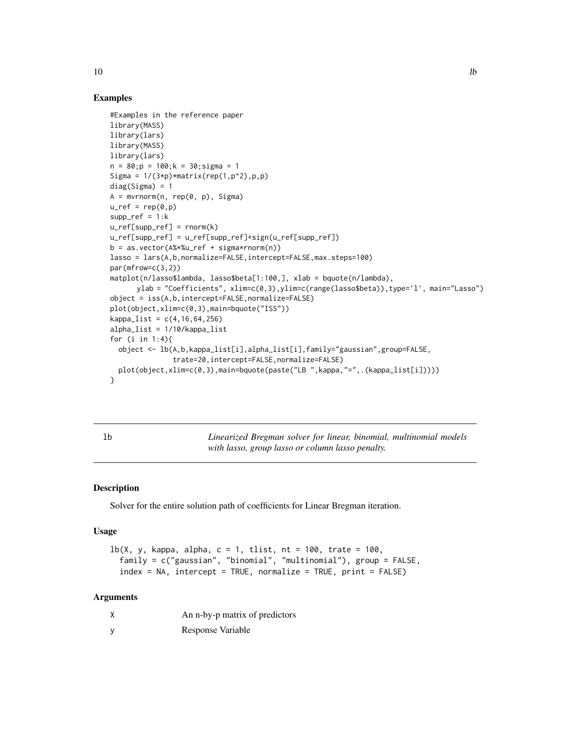#### Examples

```
#Examples in the reference paper
library(MASS)
library(lars)
library(MASS)
library(lars)
n = 80; p = 100; k = 30; sigma = 1Sigma = 1/(3*p)*matrix(rep(1,p^2),p,p)diag(Sigma) = 1A = mvrnorm(n, rep(0, p), Signa)u_ref = rep(0,p)supp_ref = 1:ku_ref[supp_ref] = rnorm(k)u_ref[supp_ref] = u_ref[supp_ref]+sign(u_ref[supp_ref])
b = as.vector(A%*%u-ref + sigma*rnorm(n))lasso = lars(A,b,normalize=FALSE,intercept=FALSE,max.steps=100)
par(mfrow=c(3,2))
matplot(n/lasso$lambda, lasso$beta[1:100,], xlab = bquote(n/lambda),
      ylab = "Coefficients", xlim=c(0,3),ylim=c(range(lasso$beta)),type='l', main="Lasso")
object = iss(A,b,intercept=FALSE,normalize=FALSE)
plot(object,xlim=c(0,3),main=bquote("ISS"))
kappa_{1}ist = c(4, 16, 64, 256)alpha_list = 1/10/kappa_list
for (i in 1:4){
  object <- lb(A,b,kappa_list[i],alpha_list[i],family="gaussian",group=FALSE,
               trate=20,intercept=FALSE,normalize=FALSE)
 plot(object,xlim=c(0,3),main=bquote(paste("LB ",kappa,"=",.(kappa_list[i]))))
}
```
lb *Linearized Bregman solver for linear, binomial, multinomial models with lasso, group lasso or column lasso penalty.*

#### **Description**

Solver for the entire solution path of coefficients for Linear Bregman iteration.

#### Usage

 $lb(X, y, kappa, alpha, c = 1, tlist, nt = 100, trate = 100,$ family = c("gaussian", "binomial", "multinomial"), group = FALSE,  $index = NA$ ,  $intercept = TRUE$ ,  $normalize = TRUE$ ,  $print = FALSE$ )

#### Arguments

|   | An n-by-p matrix of predictors |
|---|--------------------------------|
| у | Response Variable              |

<span id="page-9-0"></span> $10$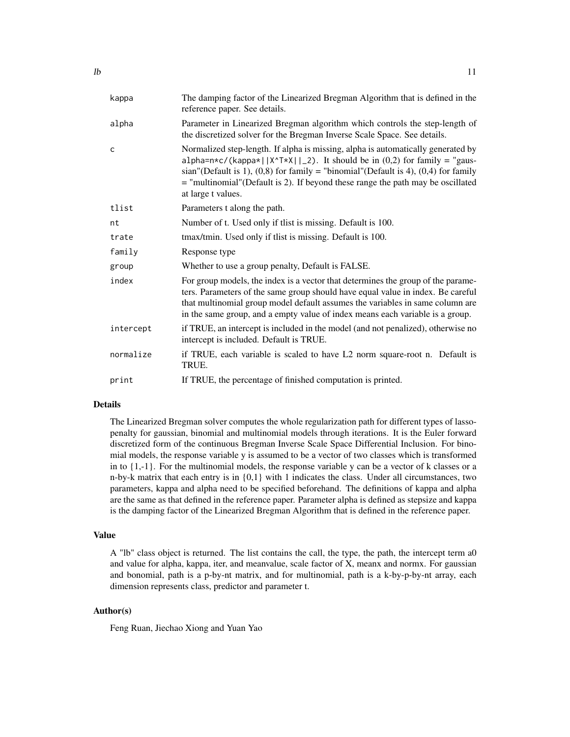| kappa        | The damping factor of the Linearized Bregman Algorithm that is defined in the<br>reference paper. See details.                                                                                                                                                                                                                                                     |
|--------------|--------------------------------------------------------------------------------------------------------------------------------------------------------------------------------------------------------------------------------------------------------------------------------------------------------------------------------------------------------------------|
| alpha        | Parameter in Linearized Bregman algorithm which controls the step-length of<br>the discretized solver for the Bregman Inverse Scale Space. See details.                                                                                                                                                                                                            |
| $\mathsf{C}$ | Normalized step-length. If alpha is missing, alpha is automatically generated by<br>alpha=n*c/(kappa*  X^T*X  _2). It should be in $(0,2)$ for family = "gaus-<br>sian"(Default is 1), $(0,8)$ for family = "binomial"(Default is 4), $(0,4)$ for family<br>= "multinomial" (Default is 2). If beyond these range the path may be oscillated<br>at large t values. |
| tlist        | Parameters t along the path.                                                                                                                                                                                                                                                                                                                                       |
| nt           | Number of t. Used only if thist is missing. Default is 100.                                                                                                                                                                                                                                                                                                        |
| trate        | tmax/tmin. Used only if tlist is missing. Default is 100.                                                                                                                                                                                                                                                                                                          |
| family       | Response type                                                                                                                                                                                                                                                                                                                                                      |
| group        | Whether to use a group penalty, Default is FALSE.                                                                                                                                                                                                                                                                                                                  |
| index        | For group models, the index is a vector that determines the group of the parame-<br>ters. Parameters of the same group should have equal value in index. Be careful<br>that multinomial group model default assumes the variables in same column are<br>in the same group, and a empty value of index means each variable is a group.                              |
| intercept    | if TRUE, an intercept is included in the model (and not penalized), otherwise no<br>intercept is included. Default is TRUE.                                                                                                                                                                                                                                        |
| normalize    | if TRUE, each variable is scaled to have L2 norm square-root n. Default is<br>TRUE.                                                                                                                                                                                                                                                                                |
| print        | If TRUE, the percentage of finished computation is printed.                                                                                                                                                                                                                                                                                                        |
|              |                                                                                                                                                                                                                                                                                                                                                                    |

#### Details

The Linearized Bregman solver computes the whole regularization path for different types of lassopenalty for gaussian, binomial and multinomial models through iterations. It is the Euler forward discretized form of the continuous Bregman Inverse Scale Space Differential Inclusion. For binomial models, the response variable y is assumed to be a vector of two classes which is transformed in to  $\{1,-1\}$ . For the multinomial models, the response variable y can be a vector of k classes or a n-by-k matrix that each entry is in  $\{0,1\}$  with 1 indicates the class. Under all circumstances, two parameters, kappa and alpha need to be specified beforehand. The definitions of kappa and alpha are the same as that defined in the reference paper. Parameter alpha is defined as stepsize and kappa is the damping factor of the Linearized Bregman Algorithm that is defined in the reference paper.

#### Value

A "lb" class object is returned. The list contains the call, the type, the path, the intercept term a0 and value for alpha, kappa, iter, and meanvalue, scale factor of X, meanx and normx. For gaussian and bonomial, path is a p-by-nt matrix, and for multinomial, path is a k-by-p-by-nt array, each dimension represents class, predictor and parameter t.

#### Author(s)

Feng Ruan, Jiechao Xiong and Yuan Yao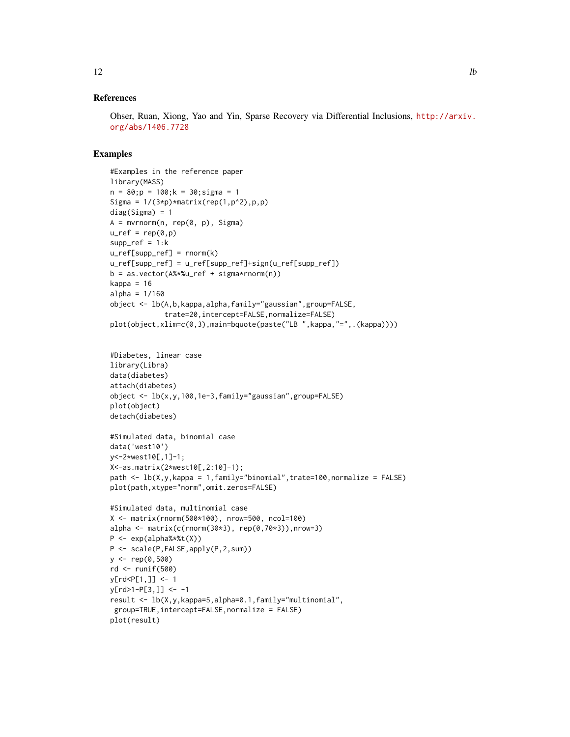#### References

Ohser, Ruan, Xiong, Yao and Yin, Sparse Recovery via Differential Inclusions, [http://arxiv.](http://arxiv.org/abs/1406.7728) [org/abs/1406.7728](http://arxiv.org/abs/1406.7728)

#### Examples

```
#Examples in the reference paper
library(MASS)
n = 80; p = 100; k = 30; sigma = 1Sigma = 1/(3*p)*matrix(rep(1,p^2),p,p)diag(Sigma) = 1
A = mvrnorm(n, rep(0, p), Signa)u_ref = rep(0,p)supp_ref = 1:ku_ref[supp_ref] = rnorm(k)u_ref[supp_ref] = u_ref[supp_ref]+sign(u_ref[supp_ref])
b = as.vector(A%*%u_ref + sigma*rnorm(n))kappa = 16alpha = 1/160object <- lb(A,b,kappa,alpha,family="gaussian",group=FALSE,
             trate=20,intercept=FALSE,normalize=FALSE)
plot(object,xlim=c(0,3),main=bquote(paste("LB ",kappa,"=",.(kappa))))
#Diabetes, linear case
library(Libra)
data(diabetes)
attach(diabetes)
object <- lb(x,y,100,1e-3,family="gaussian",group=FALSE)
plot(object)
detach(diabetes)
#Simulated data, binomial case
data('west10')
y<-2*west10[,1]-1;
X<-as.matrix(2*west10[,2:10]-1);
path <- lb(X,y,kappa = 1,family="binomial",trate=100,normalize = FALSE)
plot(path,xtype="norm",omit.zeros=FALSE)
#Simulated data, multinomial case
X <- matrix(rnorm(500*100), nrow=500, ncol=100)
alpha \leq matrix(c(rnorm(30*3), rep(0,70*3)), nrow=3)
P <- exp(alpha%*%t(X))
P <- scale(P,FALSE,apply(P,2,sum))
y \le - rep(0,500)
rd <- runif(500)
y[rd<P[1,]] <- 1
y[rd>1-P[3,]] < -1result <- lb(X,y,kappa=5,alpha=0.1,family="multinomial",
group=TRUE,intercept=FALSE,normalize = FALSE)
plot(result)
```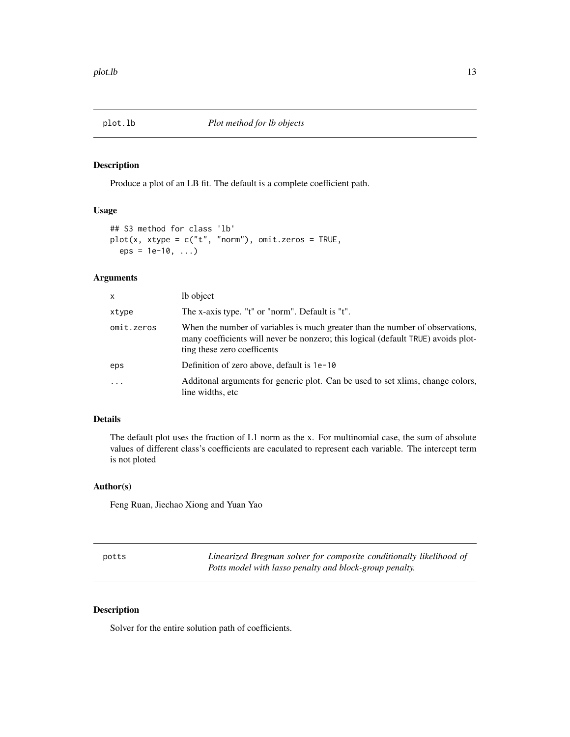<span id="page-12-0"></span>

#### Description

Produce a plot of an LB fit. The default is a complete coefficient path.

#### Usage

```
## S3 method for class 'lb'
plot(x, xtype = c("t", "norm"), omit.zeros = TRUE,eps = 1e-10, ...
```
#### Arguments

| X          | lb object                                                                                                                                                                                         |
|------------|---------------------------------------------------------------------------------------------------------------------------------------------------------------------------------------------------|
| xtype      | The x-axis type. "t" or "norm". Default is "t".                                                                                                                                                   |
| omit.zeros | When the number of variables is much greater than the number of observations,<br>many coefficients will never be nonzero; this logical (default TRUE) avoids plot-<br>ting these zero coefficents |
| eps        | Definition of zero above, default is 1e-10                                                                                                                                                        |
| $\ddotsc$  | Additional arguments for generic plot. Can be used to set xlims, change colors,<br>line widths, etc.                                                                                              |

#### Details

The default plot uses the fraction of L1 norm as the x. For multinomial case, the sum of absolute values of different class's coefficients are caculated to represent each variable. The intercept term is not ploted

#### Author(s)

Feng Ruan, Jiechao Xiong and Yuan Yao

potts *Linearized Bregman solver for composite conditionally likelihood of Potts model with lasso penalty and block-group penalty.*

#### Description

Solver for the entire solution path of coefficients.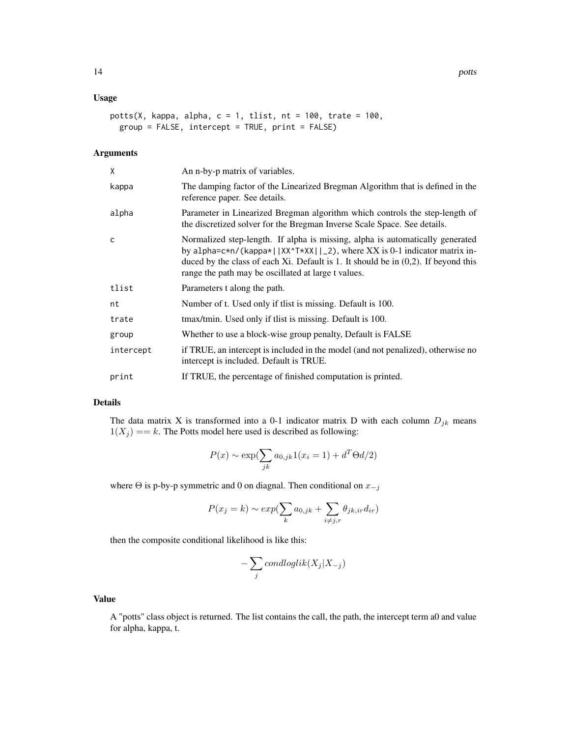#### Usage

```
potts(X, kappa, alpha, c = 1, tlist, nt = 100, trate = 100,
 group = FALSE, intercept = TRUE, print = FALSE)
```
#### Arguments

| X         | An n-by-p matrix of variables.                                                                                                                                                                                                                                                                            |
|-----------|-----------------------------------------------------------------------------------------------------------------------------------------------------------------------------------------------------------------------------------------------------------------------------------------------------------|
| kappa     | The damping factor of the Linearized Bregman Algorithm that is defined in the<br>reference paper. See details.                                                                                                                                                                                            |
| alpha     | Parameter in Linearized Bregman algorithm which controls the step-length of<br>the discretized solver for the Bregman Inverse Scale Space. See details.                                                                                                                                                   |
| C         | Normalized step-length. If alpha is missing, alpha is automatically generated<br>by alpha=c*n/(kappa*  XX^T*XX  _2), where XX is 0-1 indicator matrix in-<br>duced by the class of each Xi. Default is 1. It should be in $(0,2)$ . If beyond this<br>range the path may be oscillated at large t values. |
| tlist     | Parameters t along the path.                                                                                                                                                                                                                                                                              |
| nt        | Number of t. Used only if thist is missing. Default is 100.                                                                                                                                                                                                                                               |
| trate     | tmax/tmin. Used only if thist is missing. Default is 100.                                                                                                                                                                                                                                                 |
| group     | Whether to use a block-wise group penalty, Default is FALSE                                                                                                                                                                                                                                               |
| intercept | if TRUE, an intercept is included in the model (and not penalized), otherwise no<br>intercept is included. Default is TRUE.                                                                                                                                                                               |
| print     | If TRUE, the percentage of finished computation is printed.                                                                                                                                                                                                                                               |

#### Details

The data matrix X is transformed into a 0-1 indicator matrix D with each column  $D_{jk}$  means  $1(X_j ) == k$ . The Potts model here used is described as following:

$$
P(x) \sim \exp(\sum_{jk} a_{0,jk} 1(x_i = 1) + d^T \Theta d/2)
$$

where  $\Theta$  is p-by-p symmetric and 0 on diagnal. Then conditional on  $x_{-j}$ 

$$
P(x_j = k) \sim exp(\sum_k a_{0,jk} + \sum_{i \neq j,r} \theta_{jk,ir} d_{ir})
$$

then the composite conditional likelihood is like this:

$$
-\sum_j condloglik(X_j|X_{-j})
$$

#### Value

A "potts" class object is returned. The list contains the call, the path, the intercept term a0 and value for alpha, kappa, t.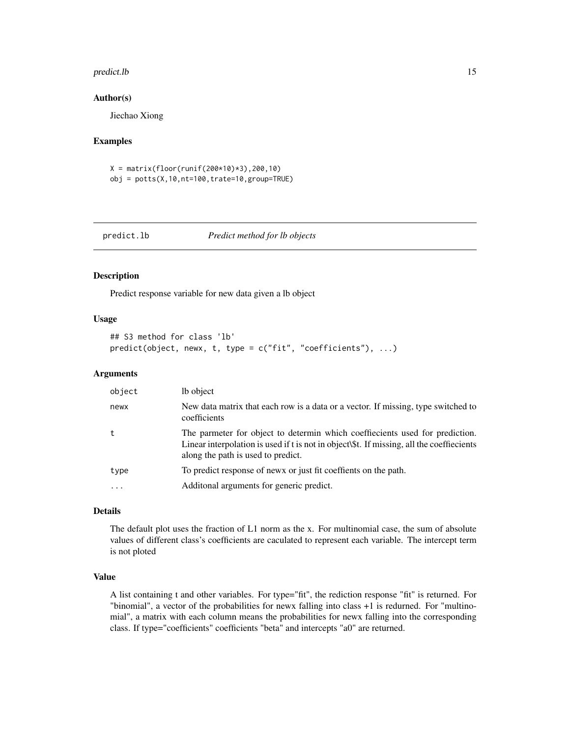#### <span id="page-14-0"></span>predict.lb the contract of the contract of the contract of the contract of the contract of the contract of the contract of the contract of the contract of the contract of the contract of the contract of the contract of the

#### Author(s)

Jiechao Xiong

#### Examples

 $X = matrix(float(runif(200*10)*3), 200, 10)$ obj = potts(X,10,nt=100,trate=10,group=TRUE)

#### predict.lb *Predict method for lb objects*

#### Description

Predict response variable for new data given a lb object

#### Usage

```
## S3 method for class 'lb'
predict(object, newx, t, type = c("fit", "coefficients"), ...)
```
#### Arguments

| newx<br>coefficients<br>along the path is used to predict.<br>To predict response of news or just fit coeffients on the path.<br>type<br>Additional arguments for generic predict.<br>$\cdot$ $\cdot$ $\cdot$ | object | lb object                                                                                                                                                                 |
|---------------------------------------------------------------------------------------------------------------------------------------------------------------------------------------------------------------|--------|---------------------------------------------------------------------------------------------------------------------------------------------------------------------------|
|                                                                                                                                                                                                               |        | New data matrix that each row is a data or a vector. If missing, type switched to                                                                                         |
|                                                                                                                                                                                                               |        | The parmeter for object to determin which coeffiecients used for prediction.<br>Linear interpolation is used if t is not in object\\$t. If missing, all the coeffiecients |
|                                                                                                                                                                                                               |        |                                                                                                                                                                           |
|                                                                                                                                                                                                               |        |                                                                                                                                                                           |

#### Details

The default plot uses the fraction of L1 norm as the x. For multinomial case, the sum of absolute values of different class's coefficients are caculated to represent each variable. The intercept term is not ploted

#### Value

A list containing t and other variables. For type="fit", the rediction response "fit" is returned. For "binomial", a vector of the probabilities for newx falling into class +1 is redurned. For "multinomial", a matrix with each column means the probabilities for newx falling into the corresponding class. If type="coefficients" coefficients "beta" and intercepts "a0" are returned.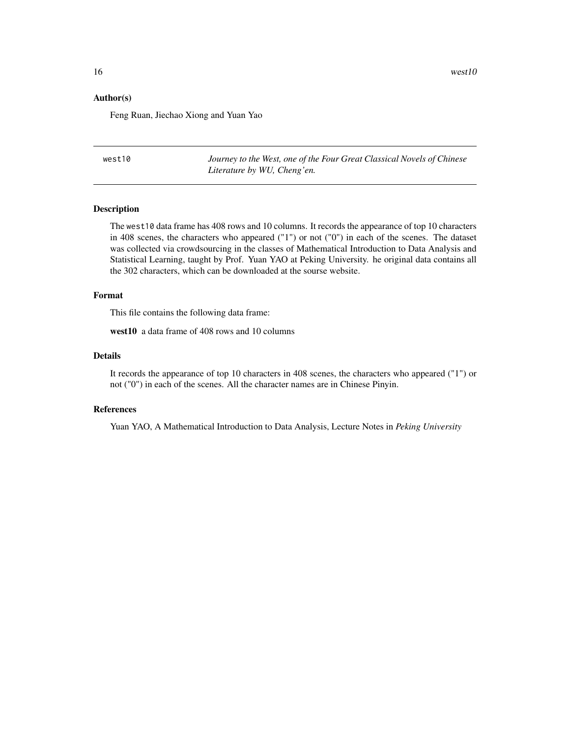#### <span id="page-15-0"></span>Author(s)

Feng Ruan, Jiechao Xiong and Yuan Yao

west10 *Journey to the West, one of the Four Great Classical Novels of Chinese Literature by WU, Cheng'en.*

#### Description

The west10 data frame has 408 rows and 10 columns. It records the appearance of top 10 characters in 408 scenes, the characters who appeared ("1") or not ("0") in each of the scenes. The dataset was collected via crowdsourcing in the classes of Mathematical Introduction to Data Analysis and Statistical Learning, taught by Prof. Yuan YAO at Peking University. he original data contains all the 302 characters, which can be downloaded at the sourse website.

#### Format

This file contains the following data frame:

west10 a data frame of 408 rows and 10 columns

#### Details

It records the appearance of top 10 characters in 408 scenes, the characters who appeared ("1") or not ("0") in each of the scenes. All the character names are in Chinese Pinyin.

#### References

Yuan YAO, A Mathematical Introduction to Data Analysis, Lecture Notes in *Peking University*